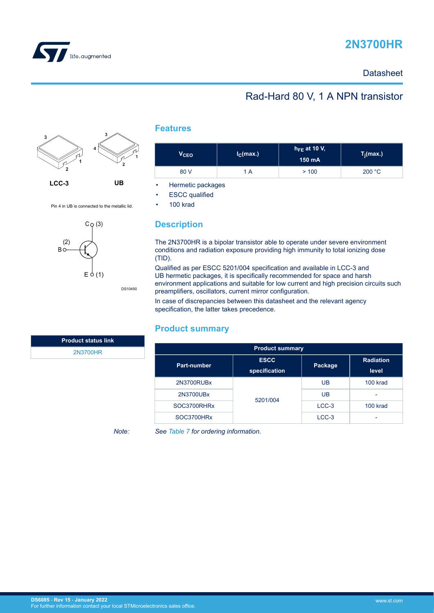



### **Datasheet**

### Rad-Hard 80 V, 1 A NPN transistor



Pin 4 in UB is connected to the metallic lid.

C (3)

 $E \circ (1)$ 

#### **Features**

| V <sub>CEO</sub> | $I_{\rm C}$ (max.) | $h_{\text{FE}}$ at 10 V,<br>150 mA | $T_j$ (max.) |  |
|------------------|--------------------|------------------------------------|--------------|--|
| 80 V             | 1 A                | >100                               | 200 °C       |  |

• Hermetic packages

**ESCC** qualified

• 100 krad

## **Description**

The 2N3700HR is a bipolar transistor able to operate under severe environment conditions and radiation exposure providing high immunity to total ionizing dose (TID).

Qualified as per ESCC 5201/004 specification and available in LCC-3 and UB hermetic packages, it is specifically recommended for space and harsh environment applications and suitable for low current and high precision circuits such preamplifiers, oscillators, current mirror configuration.

In case of discrepancies between this datasheet and the relevant agency specification, the latter takes precedence.

#### **Product summary**

| <b>Product summary</b> |                              |         |                           |  |  |  |  |
|------------------------|------------------------------|---------|---------------------------|--|--|--|--|
| Part-number            | <b>ESCC</b><br>specification | Package | <b>Radiation</b><br>level |  |  |  |  |
| 2N3700RUBx             |                              | UB      | 100 krad                  |  |  |  |  |
| 2N3700UBx              | 5201/004                     | UB      |                           |  |  |  |  |
| SOC3700RHRx            |                              | $LCC-3$ | 100 krad                  |  |  |  |  |
| SOC3700HRx             |                              | $LCC-3$ |                           |  |  |  |  |

DS10450

*Note: See [Table 7](#page-10-0) for ordering information.*

| <b>Product status link</b> |  |
|----------------------------|--|
| 2N3700HR                   |  |

**B**o (2)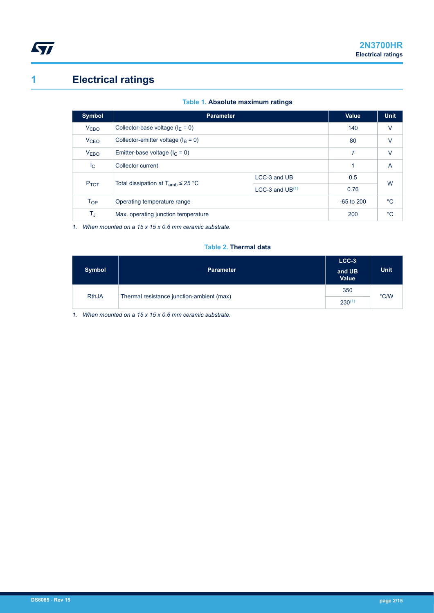<span id="page-1-0"></span>

# **1 Electrical ratings**

| Table 1. Absolute maximum ratings |  |  |  |  |  |
|-----------------------------------|--|--|--|--|--|
|-----------------------------------|--|--|--|--|--|

| Symbol                 | <b>Parameter</b>                          |                   | Value       | <b>Unit</b>  |  |
|------------------------|-------------------------------------------|-------------------|-------------|--------------|--|
| <b>V<sub>CBO</sub></b> | Collector-base voltage ( $I_F = 0$ )      | 140               | $\vee$      |              |  |
| <b>V<sub>CEO</sub></b> | Collector-emitter voltage ( $IB = 0$ )    | 80                | $\vee$      |              |  |
| <b>VEBO</b>            | Emitter-base voltage ( $I_C = 0$ )        | 7                 | $\vee$      |              |  |
| $I_{\rm C}$            | Collector current                         |                   | A           |              |  |
|                        | Total dissipation at $T_{amb} \leq 25$ °C | LCC-3 and UB      | 0.5         |              |  |
| $P_{TOT}$              |                                           | LCC-3 and $UB(1)$ | 0.76        | W            |  |
| T <sub>OP</sub>        | Operating temperature range               | $-65$ to 200      | $^{\circ}C$ |              |  |
| $T_{\text{J}}$         | Max. operating junction temperature       |                   | 200         | $^{\circ}$ C |  |

*1. When mounted on a 15 x 15 x 0.6 mm ceramic substrate.*

#### **Table 2. Thermal data**

| <b>Symbol</b> | <b>Parameter</b>                          | LCC-3<br>and UB<br><b>Value</b> | <b>Unit</b>   |
|---------------|-------------------------------------------|---------------------------------|---------------|
| <b>RthJA</b>  | Thermal resistance junction-ambient (max) | 350                             | $\degree$ C/W |
|               |                                           | $230^{(1)}$                     |               |

*1. When mounted on a 15 x 15 x 0.6 mm ceramic substrate.*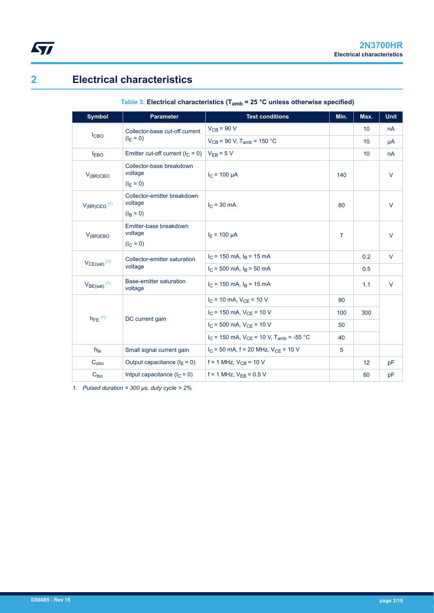<span id="page-2-0"></span>

## **2 Electrical characteristics**

| <b>Symbol</b>                | <b>Parameter</b>                                            | <b>Test conditions</b>                                                                                                                                                                                                                                                                                                                                                                                                                                                                                   | Min.           | Max. | <b>Unit</b> |
|------------------------------|-------------------------------------------------------------|----------------------------------------------------------------------------------------------------------------------------------------------------------------------------------------------------------------------------------------------------------------------------------------------------------------------------------------------------------------------------------------------------------------------------------------------------------------------------------------------------------|----------------|------|-------------|
|                              | Collector-base cut-off current                              | $V_{CB}$ = 90 V                                                                                                                                                                                                                                                                                                                                                                                                                                                                                          |                | 10   | nA          |
| I <sub>CBO</sub>             | $(I_F = 0)$                                                 | $V_{CB}$ = 90 V, T <sub>amb</sub> = 150 °C<br>$V_{EB} = 5 V$<br>$I_C = 100 \mu A$<br>$I_C = 30$ mA<br>$I_F = 100 \mu A$<br>$I_C$ = 150 mA, $I_B$ = 15 mA<br>$I_C$ = 500 mA, $I_B$ = 50 mA<br>$I_C$ = 150 mA, $I_B$ = 15 mA<br>$I_C$ = 10 mA, $V_{CE}$ = 10 V<br>$I_C$ = 150 mA, $V_{CE}$ = 10 V<br>$I_C$ = 500 mA, $V_{CE}$ = 10 V<br>$I_C$ = 150 mA, $V_{CF}$ = 10 V, $T_{amb}$ = -55 °C<br>$I_C$ = 50 mA, f = 20 MHz, $V_{CF}$ = 10 V<br>$f = 1$ MHz, $V_{CB} = 10$ V<br>$f = 1$ MHz, $V_{FB} = 0.5$ V |                | 10   | μA          |
| <b>IEBO</b>                  | Emitter cut-off current $(l_C = 0)$                         |                                                                                                                                                                                                                                                                                                                                                                                                                                                                                                          |                | 10   | nA          |
| $V_{(BR)CBO}$                | Collector-base breakdown<br>voltage<br>$(I_E = 0)$          |                                                                                                                                                                                                                                                                                                                                                                                                                                                                                                          | 140            |      | $\vee$      |
| $V_{(BR)CEO}$ <sup>(1)</sup> | Collector-emitter breakdown<br>voltage<br>$(I_{\rm R} = 0)$ |                                                                                                                                                                                                                                                                                                                                                                                                                                                                                                          | 80             |      | $\vee$      |
| $V_{(BR)EBO}$                | Emitter-base breakdown<br>voltage<br>$(I_C = 0)$            |                                                                                                                                                                                                                                                                                                                                                                                                                                                                                                          | $\overline{7}$ |      | $\vee$      |
| $V_{CE(sat)}$ <sup>(1)</sup> | Collector-emitter saturation                                |                                                                                                                                                                                                                                                                                                                                                                                                                                                                                                          |                | 0.2  | V           |
|                              | voltage                                                     |                                                                                                                                                                                                                                                                                                                                                                                                                                                                                                          |                | 0.5  |             |
| $V_{BE(sat)}$ <sup>(1)</sup> | <b>Base-emitter saturation</b><br>voltage                   |                                                                                                                                                                                                                                                                                                                                                                                                                                                                                                          |                | 1.1  | $\vee$      |
|                              |                                                             |                                                                                                                                                                                                                                                                                                                                                                                                                                                                                                          | 90             |      |             |
| $h_{FE}$ <sup>(1)</sup>      | DC current gain                                             |                                                                                                                                                                                                                                                                                                                                                                                                                                                                                                          | 100            | 300  |             |
|                              |                                                             |                                                                                                                                                                                                                                                                                                                                                                                                                                                                                                          | 50             |      |             |
|                              |                                                             |                                                                                                                                                                                                                                                                                                                                                                                                                                                                                                          | 40             |      |             |
| $h_{\text{fe}}$              | Small signal current gain                                   |                                                                                                                                                                                                                                                                                                                                                                                                                                                                                                          | 5              |      |             |
| $C_{\text{obo}}$             | Output capacitance $(I_F = 0)$                              |                                                                                                                                                                                                                                                                                                                                                                                                                                                                                                          |                | 12   | pF          |
| C <sub>ibo</sub>             | Intput capacitance $(I_C = 0)$                              |                                                                                                                                                                                                                                                                                                                                                                                                                                                                                                          |                | 60   | pF          |

### **Table 3. Electrical characteristics (Tamb = 25 °C unless otherwise specified)**

*1. Pulsed duration = 300 µs, duty cycle > 2%*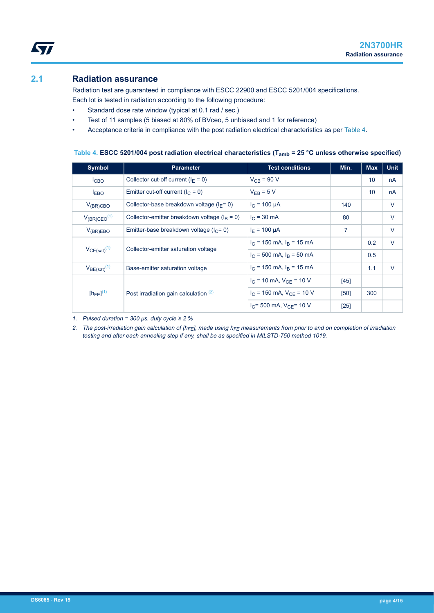### <span id="page-3-0"></span>**2.1 Radiation assurance**

Radiation test are guaranteed in compliance with ESCC 22900 and ESCC 5201/004 specifications.

- Each lot is tested in radiation according to the following procedure:
- Standard dose rate window (typical at 0.1 rad / sec.)
- Test of 11 samples (5 biased at 80% of BVceo, 5 unbiased and 1 for reference)
- Acceptance criteria in compliance with the post radiation electrical characteristics as per Table 4.

#### **Table 4. ESCC 5201/004 post radiation electrical characteristics (Tamb = 25 °C unless otherwise specified)**

| Symbol              | <b>Parameter</b>                                 | <b>Test conditions</b>                                                                                                                                                | Min.   | <b>Max</b> | <b>Unit</b> |
|---------------------|--------------------------------------------------|-----------------------------------------------------------------------------------------------------------------------------------------------------------------------|--------|------------|-------------|
| I <sub>CBO</sub>    | Collector cut-off current ( $I_F = 0$ )          | $V_{CR}$ = 90 V                                                                                                                                                       |        | 10         | nA          |
| <b>EBO</b>          | Emitter cut-off current ( $I_C = 0$ )            | $V_{FR}$ = 5 V                                                                                                                                                        |        | 10         | nA          |
| $V_{(BR)CBO}$       | Collector-base breakdown voltage ( $I_F$ = 0)    | $I_C = 100 \mu A$                                                                                                                                                     | 140    |            | $\vee$      |
| $V_{(BR)CEO}^{(1)}$ | Collector-emitter breakdown voltage ( $IB = 0$ ) | $I_C = 30$ mA                                                                                                                                                         | 80     |            | $\vee$      |
| $V_{(BR)EBO}$       | Emitter-base breakdown voltage ( $lC = 0$ )      | $I_F = 100 \mu A$                                                                                                                                                     | 7      |            | $\vee$      |
|                     |                                                  | $I_C$ = 150 mA, $I_B$ = 15 mA                                                                                                                                         |        | 0.2        | $\vee$      |
| $V_{CE(sat)}^{(1)}$ | Collector-emitter saturation voltage             | $I_C$ = 500 mA, $I_B$ = 50 mA<br>$I_C$ = 150 mA, $I_B$ = 15 mA<br>$I_C$ = 10 mA, $V_{CF}$ = 10 V<br>$I_C$ = 150 mA, $V_{CF}$ = 10 V<br>$I_C$ = 500 mA, $V_{C}$ = 10 V |        | 0.5        |             |
| $V_{BE(sat)}^{(1)}$ | Base-emitter saturation voltage                  |                                                                                                                                                                       |        | 1.1        | $\vee$      |
|                     |                                                  |                                                                                                                                                                       | $[45]$ |            |             |
| $[h_{FE}]^{(1)}$    | Post irradiation gain calculation $(2)$          |                                                                                                                                                                       | [50]   | 300        |             |
|                     |                                                  |                                                                                                                                                                       | $[25]$ |            |             |

*1. Pulsed duration = 300 μs, duty cycle ≥ 2 %*

*2. The post-irradiation gain calculation of [hFE], made using hFE measurements from prior to and on completion of irradiation testing and after each annealing step if any, shall be as specified in MILSTD-750 method 1019.*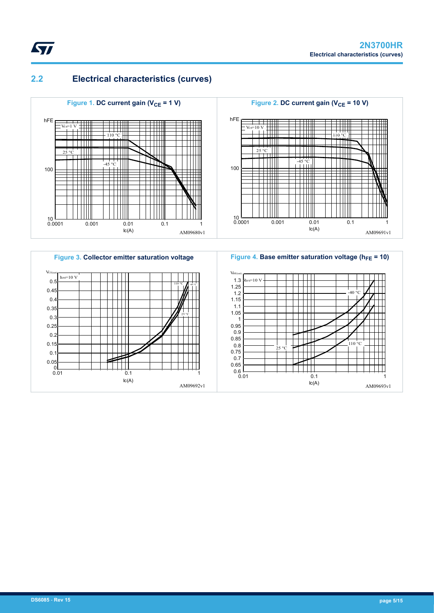

### **2.2 Electrical characteristics (curves)**

<span id="page-4-0"></span>ST







**Figure 4. Base emitter saturation voltage (h<sub>FE</sub> = 10)**  $V<sub>BE</sub>$ 1.3  $h_{FE}=10 \text{ V}$ 1.25  $-40$ 1.2 П 1.15 1.1 П 1.05 1 0.95 0.9 Щ 0.85 0.8 110 °C  $25$  $\Box$ 0.75 ┯ 0.7 m 0.65  $\Box$  $0.6$   $-$ <br> $0.01$ 0.01 0.1 1  $\text{lc}(A)$  AM09693v1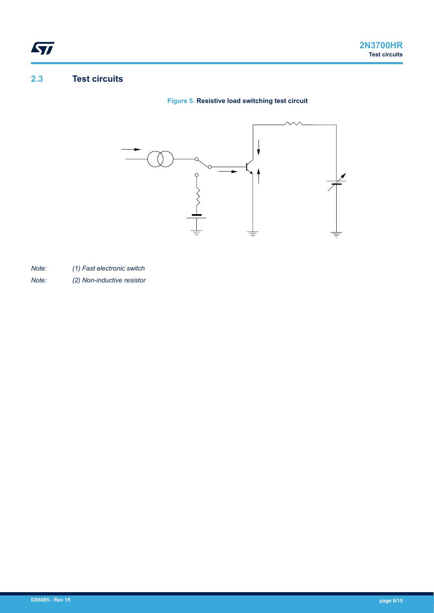### **2.3 Test circuits**

<span id="page-5-0"></span>ST

**Figure 5. Resistive load switching test circuit**



*Note: (1) Fast electronic switch*

*Note: (2) Non-inductive resistor*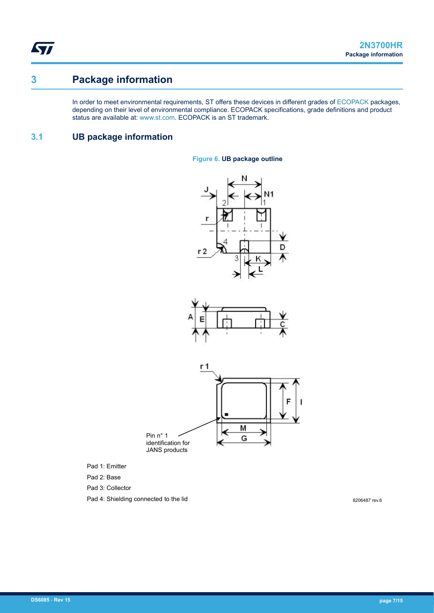<span id="page-6-0"></span>ST

## **3 Package information**

In order to meet environmental requirements, ST offers these devices in different grades of [ECOPACK](https://www.st.com/ecopack) packages, depending on their level of environmental compliance. ECOPACK specifications, grade definitions and product status are available at: [www.st.com.](http://www.st.com) ECOPACK is an ST trademark.

#### **3.1 UB package information**

#### **Figure 6. UB package outline**





Pad 1: Emitter

Pad 2: Base

Pad 3: Collector

Pad 4: Shielding connected to the lid

8206487 rev.6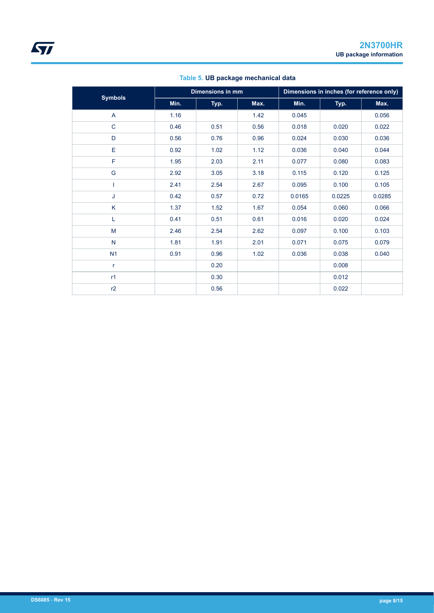| <b>Symbols</b> | <b>Dimensions in mm</b> |      |      | Dimensions in inches (for reference only) |        |        |  |
|----------------|-------------------------|------|------|-------------------------------------------|--------|--------|--|
|                | Min.                    | Typ. | Max. | Min.                                      | Typ.   | Max.   |  |
| A              | 1.16                    |      | 1.42 | 0.045                                     |        | 0.056  |  |
| $\mathbf C$    | 0.46                    | 0.51 | 0.56 | 0.018                                     | 0.020  | 0.022  |  |
| D              | 0.56                    | 0.76 | 0.96 | 0.024                                     | 0.030  | 0.036  |  |
| E              | 0.92                    | 1.02 | 1.12 | 0.036                                     | 0.040  | 0.044  |  |
| F              | 1.95                    | 2.03 | 2.11 | 0.077                                     | 0.080  | 0.083  |  |
| G              | 2.92                    | 3.05 | 3.18 | 0.115                                     | 0.120  | 0.125  |  |
|                | 2.41                    | 2.54 | 2.67 | 0.095                                     | 0.100  | 0.105  |  |
| J              | 0.42                    | 0.57 | 0.72 | 0.0165                                    | 0.0225 | 0.0285 |  |
| K              | 1.37                    | 1.52 | 1.67 | 0.054                                     | 0.060  | 0.066  |  |
| L              | 0.41                    | 0.51 | 0.61 | 0.016                                     | 0.020  | 0.024  |  |
| M              | 2.46                    | 2.54 | 2.62 | 0.097                                     | 0.100  | 0.103  |  |
| $\mathsf{N}$   | 1.81                    | 1.91 | 2.01 | 0.071                                     | 0.075  | 0.079  |  |
| N <sub>1</sub> | 0.91                    | 0.96 | 1.02 | 0.036                                     | 0.038  | 0.040  |  |
| r              |                         | 0.20 |      |                                           | 0.008  |        |  |
| r1             |                         | 0.30 |      |                                           | 0.012  |        |  |
| r2             |                         | 0.56 |      |                                           | 0.022  |        |  |

#### **Table 5. UB package mechanical data**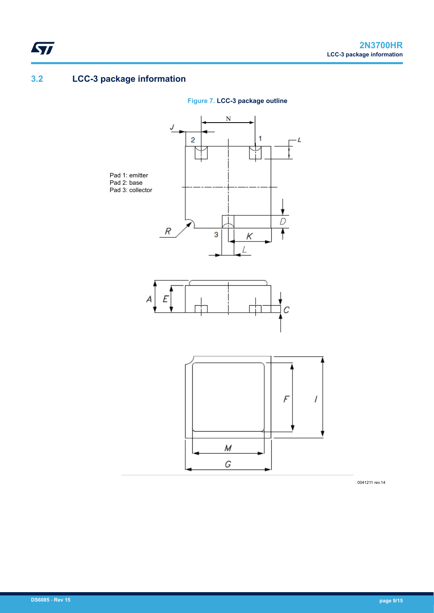## **3.2 LCC-3 package information**

<span id="page-8-0"></span> $\sqrt{2}$ 



**Figure 7. LCC-3 package outline**

0041211 rev.14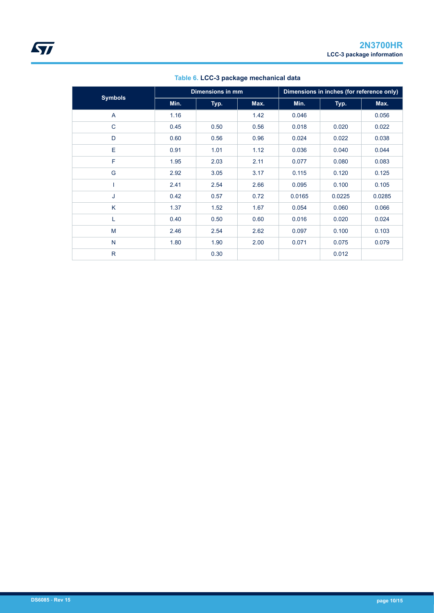|                | <b>Dimensions in mm</b> |      |      | Dimensions in inches (for reference only) |        |        |  |
|----------------|-------------------------|------|------|-------------------------------------------|--------|--------|--|
| <b>Symbols</b> | Min.                    | Typ. | Max. | Min.                                      | Typ.   | Max.   |  |
| $\overline{A}$ | 1.16                    |      | 1.42 | 0.046                                     |        | 0.056  |  |
| $\mathsf{C}$   | 0.45                    | 0.50 | 0.56 | 0.018                                     | 0.020  | 0.022  |  |
| D              | 0.60                    | 0.56 | 0.96 | 0.024                                     | 0.022  | 0.038  |  |
| E              | 0.91                    | 1.01 | 1.12 | 0.036                                     | 0.040  | 0.044  |  |
| F              | 1.95                    | 2.03 | 2.11 | 0.077                                     | 0.080  | 0.083  |  |
| G              | 2.92                    | 3.05 | 3.17 | 0.115                                     | 0.120  | 0.125  |  |
|                | 2.41                    | 2.54 | 2.66 | 0.095                                     | 0.100  | 0.105  |  |
| J              | 0.42                    | 0.57 | 0.72 | 0.0165                                    | 0.0225 | 0.0285 |  |
| K              | 1.37                    | 1.52 | 1.67 | 0.054                                     | 0.060  | 0.066  |  |
| L              | 0.40                    | 0.50 | 0.60 | 0.016                                     | 0.020  | 0.024  |  |
| M              | 2.46                    | 2.54 | 2.62 | 0.097                                     | 0.100  | 0.103  |  |
| N              | 1.80                    | 1.90 | 2.00 | 0.071                                     | 0.075  | 0.079  |  |
| $\mathsf{R}$   |                         | 0.30 |      |                                           | 0.012  |        |  |

#### **Table 6. LCC-3 package mechanical data**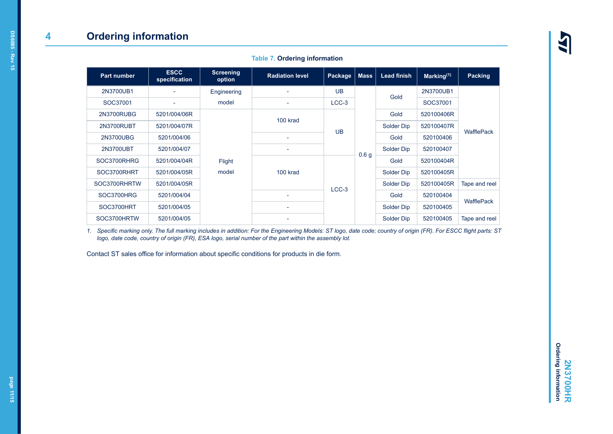<span id="page-10-0"></span>

| <b>Part number</b> | <b>ESCC</b><br>specification | <b>Screening</b><br>option | <b>Radiation level</b>   | Package   | <b>Mass</b>      | <b>Lead finish</b> | Marking $(1)$ | Packing           |
|--------------------|------------------------------|----------------------------|--------------------------|-----------|------------------|--------------------|---------------|-------------------|
| 2N3700UB1          |                              | Engineering                | ۰                        | <b>UB</b> |                  | Gold               | 2N3700UB1     |                   |
| SOC37001           |                              | model                      |                          | $LCC-3$   |                  |                    | SOC37001      |                   |
| <b>2N3700RUBG</b>  | 5201/004/06R                 |                            | 100 krad                 |           |                  | Gold               | 520100406R    | <b>WafflePack</b> |
| 2N3700RUBT         | 5201/004/07R                 |                            |                          | <b>UB</b> |                  | Solder Dip         | 520100407R    |                   |
| 2N3700UBG          | 5201/004/06                  | Flight                     | ۰                        |           |                  | Gold               | 520100406     |                   |
| 2N3700UBT          | 5201/004/07                  |                            | $\overline{\phantom{a}}$ |           | 0.6 <sub>g</sub> | Solder Dip         | 520100407     |                   |
| SOC3700RHRG        | 5201/004/04R                 |                            |                          |           |                  | Gold               | 520100404R    |                   |
| SOC3700RHRT        | 5201/004/05R                 | model                      | 100 krad                 |           |                  | Solder Dip         | 520100405R    |                   |
| SOC3700RHRTW       | 5201/004/05R                 |                            |                          | $LCC-3$   |                  | Solder Dip         | 520100405R    | Tape and reel     |
| SOC3700HRG         | 5201/004/04                  |                            |                          |           |                  | Gold               | 520100404     | WafflePack        |
| SOC3700HRT         | 5201/004/05                  |                            | $\overline{\phantom{0}}$ |           |                  | Solder Dip         | 520100405     |                   |
| SOC3700HRTW        | 5201/004/05                  |                            |                          |           |                  | Solder Dip         | 520100405     | Tape and reel     |

*1. Specific marking only. The full marking includes in addition: For the Engineering Models: ST logo, date code; country of origin (FR). For ESCC flight parts: ST logo, date code, country of origin (FR), ESA logo, serial number of the part within the assembly lot.*

Contact ST sales office for information about specific conditions for products in die form.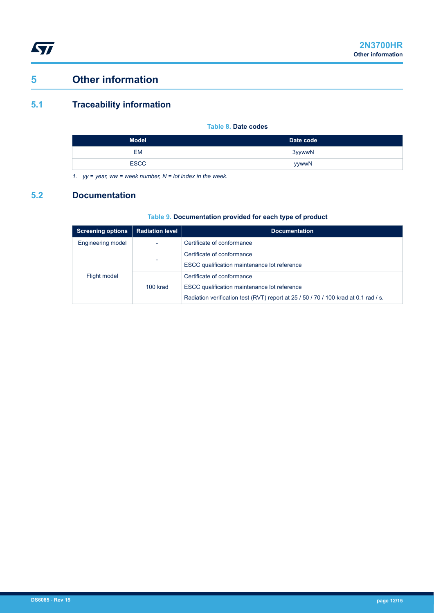<span id="page-11-0"></span>

## **5 Other information**

## **5.1 Traceability information**

#### **Table 8. Date codes**

| <b>Model</b> | Date code |
|--------------|-----------|
| <b>EM</b>    | 3yywwN    |
| <b>ESCC</b>  | yywwN     |

*1. yy = year, ww = week number, N = lot index in the week.*

### **5.2 Documentation**

#### **Table 9. Documentation provided for each type of product**

| <b>Screening options</b> | <b>Radiation level</b> | <b>Documentation</b>                                                                                                                                              |
|--------------------------|------------------------|-------------------------------------------------------------------------------------------------------------------------------------------------------------------|
| Engineering model        |                        | Certificate of conformance                                                                                                                                        |
| Flight model             |                        | Certificate of conformance<br>ESCC qualification maintenance lot reference                                                                                        |
|                          | 100 krad               | Certificate of conformance<br>ESCC qualification maintenance lot reference<br>Radiation verification test (RVT) report at 25 / 50 / 70 / 100 krad at 0.1 rad / s. |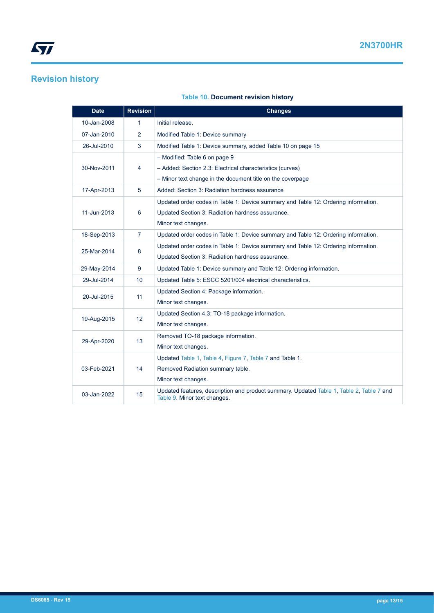## <span id="page-12-0"></span>**Revision history**

#### **Table 10. Document revision history**

| <b>Date</b> | <b>Revision</b> | <b>Changes</b>                                                                                                           |
|-------------|-----------------|--------------------------------------------------------------------------------------------------------------------------|
| 10-Jan-2008 | 1               | Initial release.                                                                                                         |
| 07-Jan-2010 | $\overline{2}$  | Modified Table 1: Device summary                                                                                         |
| 26-Jul-2010 | 3               | Modified Table 1: Device summary, added Table 10 on page 15                                                              |
|             |                 | - Modified: Table 6 on page 9                                                                                            |
| 30-Nov-2011 | 4               | - Added: Section 2.3: Electrical characteristics (curves)                                                                |
|             |                 | - Minor text change in the document title on the coverpage                                                               |
| 17-Apr-2013 | 5               | Added: Section 3: Radiation hardness assurance                                                                           |
| 11-Jun-2013 |                 | Updated order codes in Table 1: Device summary and Table 12: Ordering information.                                       |
|             | 6               | Updated Section 3: Radiation hardness assurance.                                                                         |
|             |                 | Minor text changes.                                                                                                      |
| 18-Sep-2013 | $\overline{7}$  | Updated order codes in Table 1: Device summary and Table 12: Ordering information.                                       |
| 25-Mar-2014 | 8               | Updated order codes in Table 1: Device summary and Table 12: Ordering information.                                       |
|             |                 | Updated Section 3: Radiation hardness assurance.                                                                         |
| 29-May-2014 | 9               | Updated Table 1: Device summary and Table 12: Ordering information.                                                      |
| 29-Jul-2014 | 10              | Updated Table 5: ESCC 5201/004 electrical characteristics.                                                               |
| 20-Jul-2015 | 11              | Updated Section 4: Package information.                                                                                  |
|             |                 | Minor text changes.                                                                                                      |
| 19-Aug-2015 | 12              | Updated Section 4.3: TO-18 package information.                                                                          |
|             |                 | Minor text changes.                                                                                                      |
| 29-Apr-2020 | 13              | Removed TO-18 package information.                                                                                       |
|             |                 | Minor text changes.                                                                                                      |
| 03-Feb-2021 |                 | Updated Table 1, Table 4, Figure 7, Table 7 and Table 1.                                                                 |
|             | 14              | Removed Radiation summary table.                                                                                         |
|             |                 | Minor text changes.                                                                                                      |
| 03-Jan-2022 | 15              | Updated features, description and product summary. Updated Table 1, Table 2, Table 7 and<br>Table 9. Minor text changes. |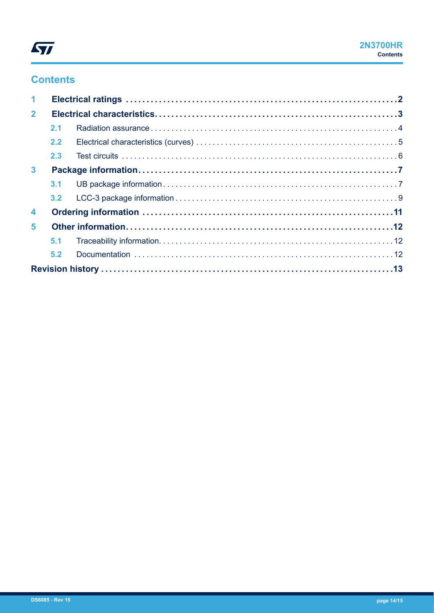## **Contents**

| $\blacktriangleleft$    |     |  |  |  |
|-------------------------|-----|--|--|--|
| $\overline{2}$          |     |  |  |  |
|                         | 2.1 |  |  |  |
|                         | 2.2 |  |  |  |
|                         | 2.3 |  |  |  |
| $\mathbf{3}$            |     |  |  |  |
|                         | 3.1 |  |  |  |
|                         |     |  |  |  |
| $\overline{\mathbf{4}}$ |     |  |  |  |
| 5                       |     |  |  |  |
|                         | 5.1 |  |  |  |
|                         | 5.2 |  |  |  |
|                         |     |  |  |  |